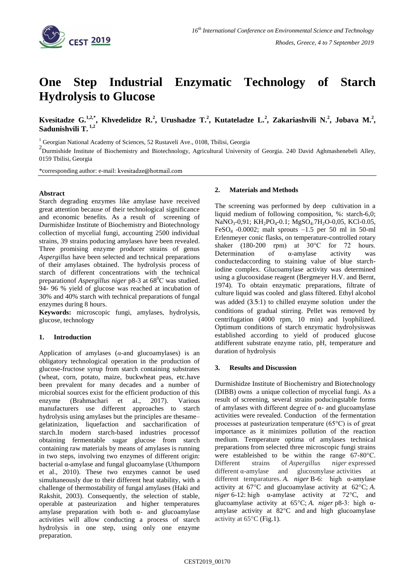

# **One Step Industrial Enzymatic Technology of Starch Hydrolysis to Glucose**

**Kvesitadze G.**<sup>1,2,\*</sup>, Khvedelidze R.<sup>2</sup>, Urushadze T.<sup>2</sup>, Kutateladze L.<sup>2</sup>, Zakariashvili N.<sup>2</sup>, Jobava M.<sup>2</sup>, **Sadunishvili T. 1,2**

<sup>1</sup> Georgian National Academy of Sciences, 52 Rustaveli Ave., 0108, Tbilisi, Georgia

<sup>2</sup> Durmishide Institute of Biochemistry and Biotechnology, Agricultural University of Georgia. 240 David Aghmashenebeli Alley, 0159 Tbilisi, Georgia

\*corresponding author: e-mail: kvesitadze@hotmail.com

### **Abstract**

Starch degrading enzymes like amylase have received great attention because of their technological significance and economic benefits. As a result of screening of Durmishidze Institute of Biochemistry and Biotechnology collection of mycelial fungi, accounting 2500 individual strains, 39 strains poducing amylases have been revealed. Three promising enzyme producer strains of genus *Aspergillus* have been selected and technical preparations of their amylases obtained. The hydrolysis process of starch of different concentrations with the technical preparationof *Aspergillus niger* p8-3 at  $68^{\circ}$ C was studied. 94- 96 % yield of glucose was reached at incubation of 30% and 40% starch with technical preparations of fungal enzymes during 8 hours.

**Keywords:** microscopic fungi, amylases, hydrolysis, glucose, technology

## **1. Introduction**

Application of amylases (*α-*and glucoamylases) is an obligatory technological operation in the production of glucose-fructose syrup from starch containing substrates (wheat, corn, potato, maize, buckwheat peas, etc.have been prevalent for many decades and a number of microbial sources exist for the efficient production of this enzyme (Brahmachari et al., 2017). Various manufacturers use different approaches to starch hydrolysis using amylases but the principles are thesame– gelatinization, liquefaction and saccharification of starch.In modern starch-based industries processof obtaining fermentable sugar glucose from starch containing raw materials by means of amylases is running in two steps, involving two enzymes of different origin: bacterial α-amylase and fungal glucoamylase [\(Uthumporn](http://www.sciencedirect.com/science/article/pii/S0960308509000777) et al., 2010). These two enzymes cannot be used simultaneously due to their different heat stability, with a challenge of thermostability of fungal amylases [\(Haki](http://www.sciencedirect.com/science/article/pii/S0960852403000336) and [Rakshit,](http://www.sciencedirect.com/science/article/pii/S0960852403000336) 2003). Consequently, the selection of stable, operable at pasteurization and higher temperatures amylase preparation with both  $\alpha$ - and glucoamylase activities will allow conducting a process of starch hydrolysis in one step, using only one enzyme preparation.

#### **2. Materials and Methods**

The screening was performed by deep cultivation in a liquid medium of following composition, %: starch-6,0; NaNO<sub>3</sub>-0,91; KH<sub>2</sub>PO<sub>4</sub>-0.1; MgSO<sub>4</sub>.7H<sub>2</sub>O-0,05, KCl-0.05, FeSO<sub>4</sub> -0.0002; malt sprouts  $-1.5$  per 50 ml in 50-ml Erlenmeyer conic flasks, on temperature-controlled rotary shaker (180**-**200 rpm) at 30°C for 72 hours. Determination of  $\alpha$ -amylase activity was conductedaccording to staining value of blue starchiodine complex. Glucoamylase activity was determined using a glucooxidase reagent (Bergmeyer H.V. and Bernt, 1974). To obtain enzymatic preparations, filtrate of culture liquid was cooled and glass filtered. Ethyl alcohol was added (3.5:1) to chilled enzyme solution under the conditions of gradual stirring. Pellet was removed by centrifugation (4000 rpm, 10 min) and lyophilized. Optimum conditions of starch enzymatic hydrolysiswas established according to yield of produced glucose atdifferent substrate enzyme ratio, pH, temperature and duration of hydrolysis

#### **3. Results and Discussion**

Durmishidze Institute of Biochemistry and Biotechnology (DIBB) owns a unique collection of mycelial fungi. As a result of screening, several strains poducingstable forms of amylases with different degree of  $\alpha$ - and glucoamylase activities were revealed. Conduction of the fermentation processes at pasteurization temperature (65°C) is of great importance as it minimizes pollution of the reaction medium. Temperature optima of amylases technical preparations from selected three microscopic fungi strains were estableished to be within the range 67-80°C. Different strains of *Aspergillus niger* expressed different α-amylase and glucosmylase activities at different temparatures. *A. niger* B-6: high α-amylase activity at 67°C and glucoamylase activity at 62°C; *A. niger* 6-12: high α-amylase activity at 72°C, and glucoamylase activity at 65°C; *A. niger* p8-3: high αamylase activity at 82°C and and high glucoamylase activity at  $65^{\circ}$ C (Fig.1).